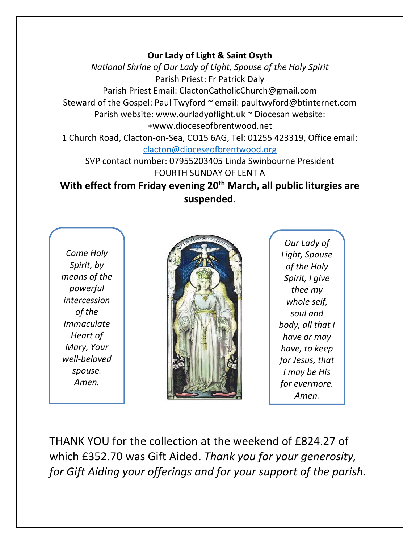## **Our Lady of Light & Saint Osyth**

*National Shrine of Our Lady of Light, Spouse of the Holy Spirit* Parish Priest: Fr Patrick Daly Parish Priest Email: ClactonCatholicChurch@gmail.com Steward of the Gospel: Paul Twyford ~ email: paultwyford@btinternet.com Parish website: www.ourladyoflight.uk ~ Diocesan website: +www.dioceseofbrentwood.net 1 Church Road, Clacton-on-Sea, CO15 6AG, Tel: 01255 423319, Office email: [clacton@dioceseofbrentwood.org](mailto:clacton@dioceseofbrentwood.org) SVP contact number: 07955203405 Linda Swinbourne President FOURTH SUNDAY OF LENT A

**With effect from Friday evening 20th March, all public liturgies are suspended**.

*Come Holy Spirit, by means of the powerful intercession of the Immaculate Heart of Mary, Your well-beloved spouse. Amen.*



*Our Lady of Light, Spouse of the Holy Spirit, I give thee my whole self, soul and body, all that I have or may have, to keep for Jesus, that I may be His for evermore. Amen.*

THANK YOU for the collection at the weekend of £824.27 of which £352.70 was Gift Aided. *Thank you for your generosity, for Gift Aiding your offerings and for your support of the parish.*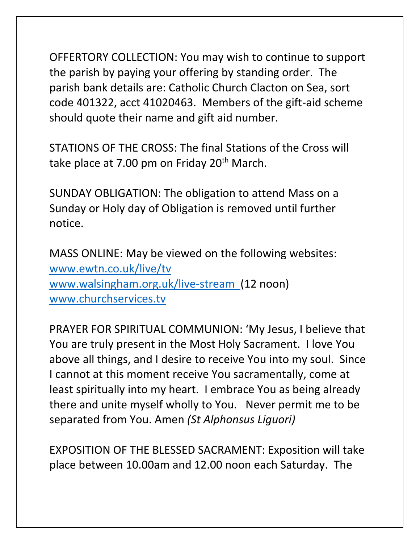OFFERTORY COLLECTION: You may wish to continue to support the parish by paying your offering by standing order. The parish bank details are: Catholic Church Clacton on Sea, sort code 401322, acct 41020463. Members of the gift-aid scheme should quote their name and gift aid number.

STATIONS OF THE CROSS: The final Stations of the Cross will take place at 7.00 pm on Friday 20<sup>th</sup> March.

SUNDAY OBLIGATION: The obligation to attend Mass on a Sunday or Holy day of Obligation is removed until further notice.

MASS ONLINE: May be viewed on the following websites: [www.ewtn.co.uk/live/tv](http://www.ewtn.co.uk/live/tv) [www.walsingham.org.uk/live-stream \(](http://www.walsingham.org.uk/live-stream)12 noon) [www.churchservices.tv](http://www.churchservices.tv/)

PRAYER FOR SPIRITUAL COMMUNION: 'My Jesus, I believe that You are truly present in the Most Holy Sacrament. I love You above all things, and I desire to receive You into my soul. Since I cannot at this moment receive You sacramentally, come at least spiritually into my heart. I embrace You as being already there and unite myself wholly to You. Never permit me to be separated from You. Amen *(St Alphonsus Liguori)*

EXPOSITION OF THE BLESSED SACRAMENT: Exposition will take place between 10.00am and 12.00 noon each Saturday. The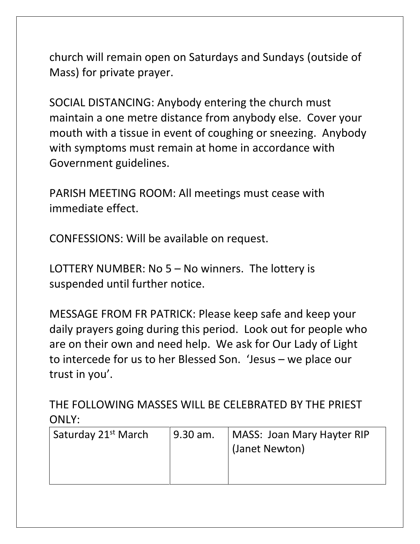church will remain open on Saturdays and Sundays (outside of Mass) for private prayer.

SOCIAL DISTANCING: Anybody entering the church must maintain a one metre distance from anybody else. Cover your mouth with a tissue in event of coughing or sneezing. Anybody with symptoms must remain at home in accordance with Government guidelines.

PARISH MEETING ROOM: All meetings must cease with immediate effect.

CONFESSIONS: Will be available on request.

LOTTERY NUMBER: No 5 – No winners. The lottery is suspended until further notice.

MESSAGE FROM FR PATRICK: Please keep safe and keep your daily prayers going during this period. Look out for people who are on their own and need help. We ask for Our Lady of Light to intercede for us to her Blessed Son. 'Jesus – we place our trust in you'.

THE FOLLOWING MASSES WILL BE CELEBRATED BY THE PRIEST ONLY:

| ' Saturday 21st March | 9.30 am. | MASS: Joan Mary Hayter RIP<br>(Janet Newton) |
|-----------------------|----------|----------------------------------------------|
|                       |          |                                              |